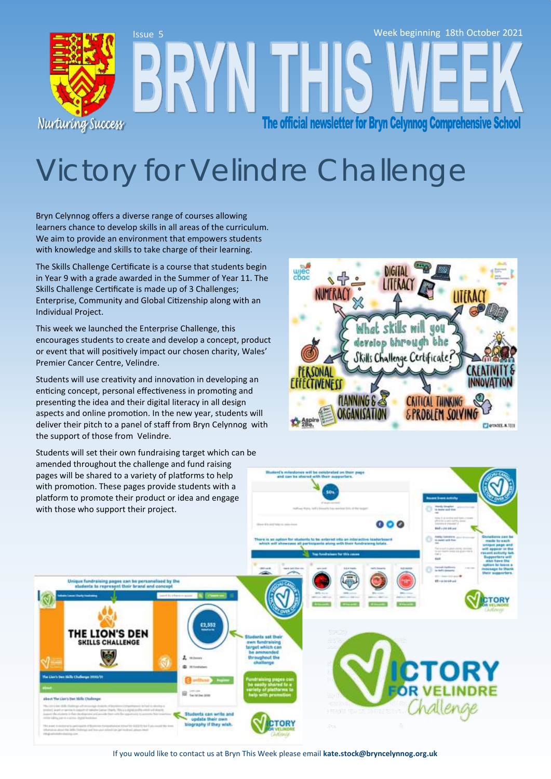

# Victory for Velindre Challenge

Bryn Celynnog offers a diverse range of courses allowing learners chance to develop skills in all areas of the curriculum. We aim to provide an environment that empowers students with knowledge and skills to take charge of their learning.

The Skills Challenge Certificate is a course that students begin in Year 9 with a grade awarded in the Summer of Year 11. The Skills Challenge Certificate is made up of 3 Challenges; Enterprise, Community and Global Citizenship along with an Individual Project.

This week we launched the Enterprise Challenge, this encourages students to create and develop a concept, product or event that will positively impact our chosen charity, Wales' Premier Cancer Centre, Velindre.

Students will use creativity and innovation in developing an enticing concept, personal effectiveness in promoting and presenting the idea and their digital literacy in all design aspects and online promotion. In the new year, students will deliver their pitch to a panel of staff from Bryn Celynnog with the support of those from Velindre.

Students will set their own fundraising target which can be amended throughout the challenge and fund raising



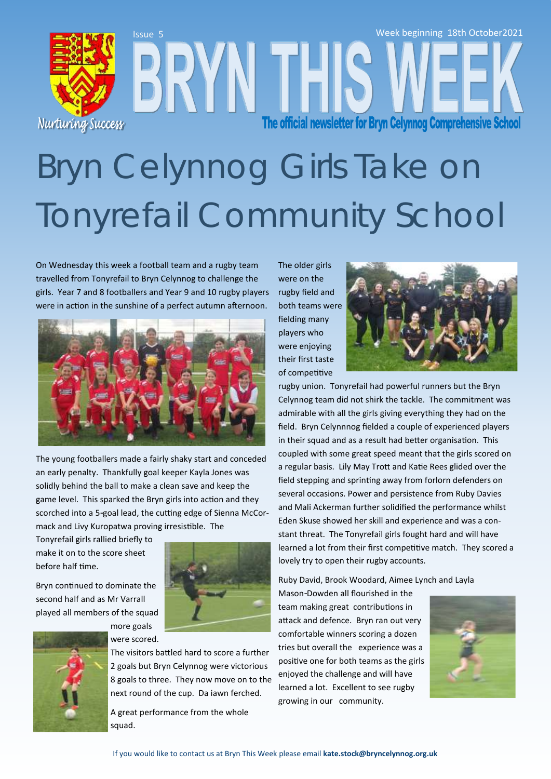

# Bryn Celynnog Girls Take on Tonyrefail Community School

On Wednesday this week a football team and a rugby team travelled from Tonyrefail to Bryn Celynnog to challenge the girls. Year 7 and 8 footballers and Year 9 and 10 rugby players were in action in the sunshine of a perfect autumn afternoon.



The young footballers made a fairly shaky start and conceded an early penalty. Thankfully goal keeper Kayla Jones was solidly behind the ball to make a clean save and keep the game level. This sparked the Bryn girls into action and they scorched into a 5-goal lead, the cutting edge of Sienna McCormack and Livy Kuropatwa proving irresistible. The

Tonyrefail girls rallied briefly to make it on to the score sheet before half time.

Bryn continued to dominate the second half and as Mr Varrall played all members of the squad



The visitors battled hard to score a further 2 goals but Bryn Celynnog were victorious 8 goals to three. They now move on to the next round of the cup. Da iawn ferched.

A great performance from the whole squad.

The older girls were on the rugby field and both teams were fielding many players who were enjoying their first taste of competitive



rugby union. Tonyrefail had powerful runners but the Bryn Celynnog team did not shirk the tackle. The commitment was admirable with all the girls giving everything they had on the field. Bryn Celynnnog fielded a couple of experienced players in their squad and as a result had better organisation. This coupled with some great speed meant that the girls scored on a regular basis. Lily May Trott and Katie Rees glided over the field stepping and sprinting away from forlorn defenders on several occasions. Power and persistence from Ruby Davies and Mali Ackerman further solidified the performance whilst Eden Skuse showed her skill and experience and was a constant threat. The Tonyrefail girls fought hard and will have learned a lot from their first competitive match. They scored a lovely try to open their rugby accounts.

Ruby David, Brook Woodard, Aimee Lynch and Layla

Mason-Dowden all flourished in the team making great contributions in attack and defence. Bryn ran out very comfortable winners scoring a dozen tries but overall the experience was a positive one for both teams as the girls enjoyed the challenge and will have learned a lot. Excellent to see rugby growing in our community.

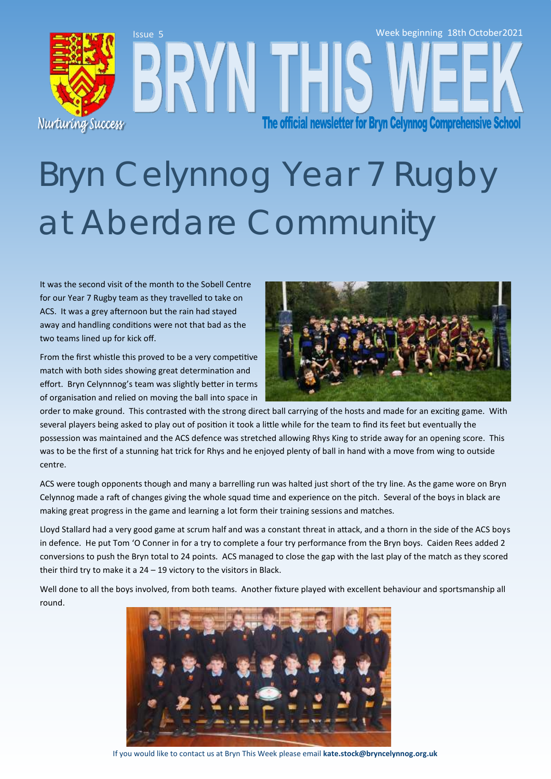# Issue 5 Week beginning 18th October2021 The official newsletter for Bryn Celynnog Comprehensive School Nurturing Success

# Bryn Celynnog Year 7 Rugby at Aberdare Community

It was the second visit of the month to the Sobell Centre for our Year 7 Rugby team as they travelled to take on ACS. It was a grey afternoon but the rain had stayed away and handling conditions were not that bad as the two teams lined up for kick off.

From the first whistle this proved to be a very competitive match with both sides showing great determination and effort. Bryn Celynnnog's team was slightly better in terms of organisation and relied on moving the ball into space in



order to make ground. This contrasted with the strong direct ball carrying of the hosts and made for an exciting game. With several players being asked to play out of position it took a little while for the team to find its feet but eventually the possession was maintained and the ACS defence was stretched allowing Rhys King to stride away for an opening score. This was to be the first of a stunning hat trick for Rhys and he enjoyed plenty of ball in hand with a move from wing to outside centre.

ACS were tough opponents though and many a barrelling run was halted just short of the try line. As the game wore on Bryn Celynnog made a raft of changes giving the whole squad time and experience on the pitch. Several of the boys in black are making great progress in the game and learning a lot form their training sessions and matches.

Lloyd Stallard had a very good game at scrum half and was a constant threat in attack, and a thorn in the side of the ACS boys in defence. He put Tom 'O Conner in for a try to complete a four try performance from the Bryn boys. Caiden Rees added 2 conversions to push the Bryn total to 24 points. ACS managed to close the gap with the last play of the match as they scored their third try to make it a  $24 - 19$  victory to the visitors in Black.

Well done to all the boys involved, from both teams. Another fixture played with excellent behaviour and sportsmanship all round.



If you would like to contact us at Bryn This Week please email **kate.stock@bryncelynnog.org.uk**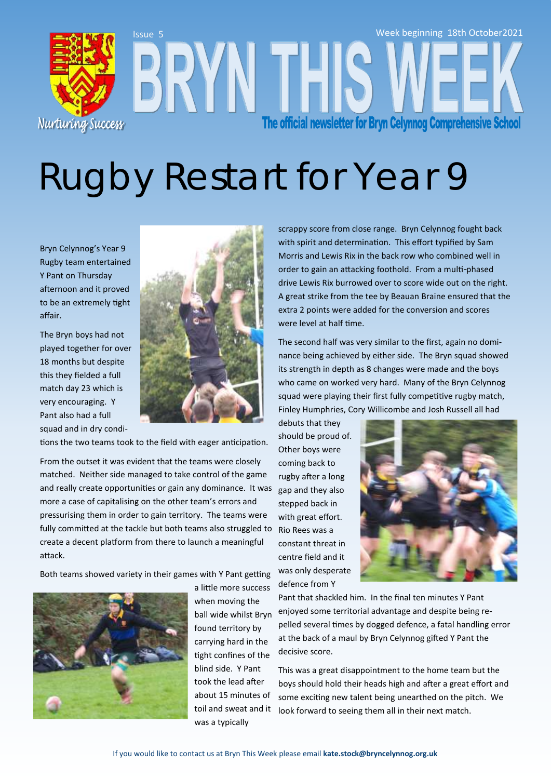

# Rugby Restart for Year 9

Bryn Celynnog's Year 9 Rugby team entertained Y Pant on Thursday afternoon and it proved to be an extremely tight affair.

The Bryn boys had not played together for over 18 months but despite this they fielded a full match day 23 which is very encouraging. Y Pant also had a full squad and in dry condi-



tions the two teams took to the field with eager anticipation.

From the outset it was evident that the teams were closely matched. Neither side managed to take control of the game and really create opportunities or gain any dominance. It was more a case of capitalising on the other team's errors and pressurising them in order to gain territory. The teams were fully committed at the tackle but both teams also struggled to create a decent platform from there to launch a meaningful attack.

Both teams showed variety in their games with Y Pant getting



a little more success when moving the ball wide whilst Bryn found territory by carrying hard in the tight confines of the blind side. Y Pant took the lead after about 15 minutes of toil and sweat and it was a typically

scrappy score from close range. Bryn Celynnog fought back with spirit and determination. This effort typified by Sam Morris and Lewis Rix in the back row who combined well in order to gain an attacking foothold. From a multi-phased drive Lewis Rix burrowed over to score wide out on the right. A great strike from the tee by Beauan Braine ensured that the extra 2 points were added for the conversion and scores were level at half time.

The second half was very similar to the first, again no dominance being achieved by either side. The Bryn squad showed its strength in depth as 8 changes were made and the boys who came on worked very hard. Many of the Bryn Celynnog squad were playing their first fully competitive rugby match, Finley Humphries, Cory Willicombe and Josh Russell all had

debuts that they should be proud of. Other boys were coming back to rugby after a long gap and they also stepped back in with great effort. Rio Rees was a constant threat in centre field and it was only desperate defence from Y



Pant that shackled him. In the final ten minutes Y Pant enjoyed some territorial advantage and despite being repelled several times by dogged defence, a fatal handling error at the back of a maul by Bryn Celynnog gifted Y Pant the decisive score.

This was a great disappointment to the home team but the boys should hold their heads high and after a great effort and some exciting new talent being unearthed on the pitch. We look forward to seeing them all in their next match.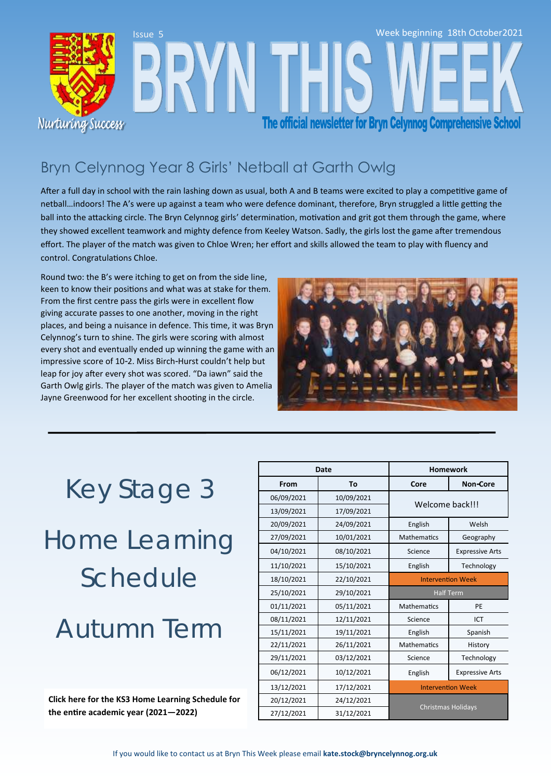

## Bryn Celynnog Year 8 Girls' Netball at Garth Owlg

After a full day in school with the rain lashing down as usual, both A and B teams were excited to play a competitive game of netball…indoors! The A's were up against a team who were defence dominant, therefore, Bryn struggled a little getting the ball into the attacking circle. The Bryn Celynnog girls' determination, motivation and grit got them through the game, where they showed excellent teamwork and mighty defence from Keeley Watson. Sadly, the girls lost the game after tremendous effort. The player of the match was given to Chloe Wren; her effort and skills allowed the team to play with fluency and control. Congratulations Chloe.

Round two: the B's were itching to get on from the side line, keen to know their positions and what was at stake for them. From the first centre pass the girls were in excellent flow giving accurate passes to one another, moving in the right places, and being a nuisance in defence. This time, it was Bryn Celynnog's turn to shine. The girls were scoring with almost every shot and eventually ended up winning the game with an impressive score of 10-2. Miss Birch-Hurst couldn't help but leap for joy after every shot was scored. "Da iawn" said the Garth Owlg girls. The player of the match was given to Amelia Jayne Greenwood for her excellent shooting in the circle.



## Key Stage 3

# Home Learning Schedule

## Autumn Term

**[Click here for the KS3 Home Learning Schedule for](https://bryncelynnog.org.uk/wp-content/uploads/2021/09/KS3-Homework-Schedule-2021-22_final.pdf)  the entire academic year (2021—2022)**

| Date       |            | <b>Homework</b>           |                        |
|------------|------------|---------------------------|------------------------|
| From       | То         | Core                      | <b>Non-Core</b>        |
| 06/09/2021 | 10/09/2021 | Welcome back!!!           |                        |
| 13/09/2021 | 17/09/2021 |                           |                        |
| 20/09/2021 | 24/09/2021 | English                   | Welsh                  |
| 27/09/2021 | 10/01/2021 | <b>Mathematics</b>        | Geography              |
| 04/10/2021 | 08/10/2021 | Science                   | <b>Expressive Arts</b> |
| 11/10/2021 | 15/10/2021 | English                   | Technology             |
| 18/10/2021 | 22/10/2021 | <b>Intervention Week</b>  |                        |
| 25/10/2021 | 29/10/2021 | <b>Half Term</b>          |                        |
| 01/11/2021 | 05/11/2021 | <b>Mathematics</b>        | PE                     |
| 08/11/2021 | 12/11/2021 | Science                   | ICT                    |
| 15/11/2021 | 19/11/2021 | English                   | Spanish                |
| 22/11/2021 | 26/11/2021 | <b>Mathematics</b>        | History                |
| 29/11/2021 | 03/12/2021 | Science                   | Technology             |
| 06/12/2021 | 10/12/2021 | English                   | <b>Expressive Arts</b> |
| 13/12/2021 | 17/12/2021 | <b>Intervention Week</b>  |                        |
| 20/12/2021 | 24/12/2021 | <b>Christmas Holidays</b> |                        |
| 27/12/2021 | 31/12/2021 |                           |                        |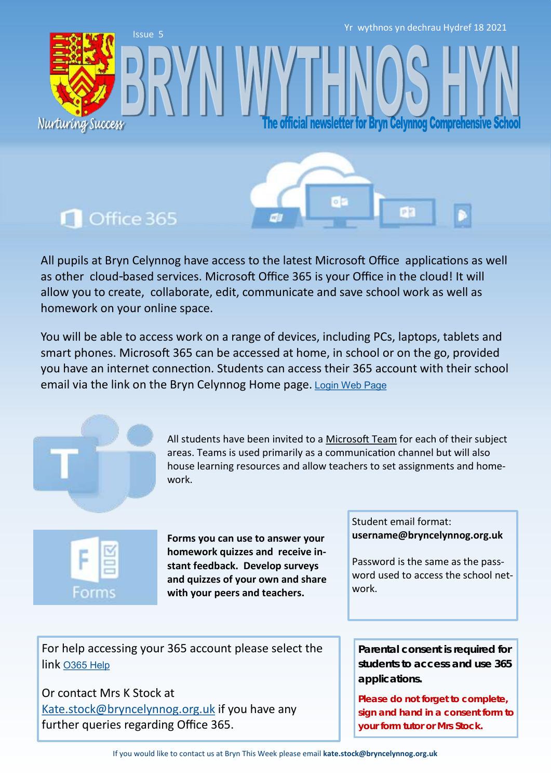Yr wythnos yn dechrau Hydref 18 2021

fficial newsletter for Bryn Celynnog Comprehensive

## **n** Office 365

Nurturing Success

Issue 5

All pupils at Bryn Celynnog have access to the latest Microsoft Office applications as well as other cloud-based services. Microsoft Office 365 is your Office in the cloud! It will allow you to create, collaborate, edit, communicate and save school work as well as homework on your online space.

You will be able to access work on a range of devices, including PCs, laptops, tablets and smart phones. Microsoft 365 can be accessed at home, in school or on the go, provided you have an internet connection. Students can access their 365 account with their school email via the link on the Bryn Celynnog Home page. [Login Web Page](https://www.office.com/)



All students have been invited to a [Microsoft Team](https://teams.microsoft.com/edustart) for each of their subject areas. Teams is used primarily as a communication channel but will also house learning resources and allow teachers to set assignments and homework.



**Forms you can use to answer your homework quizzes and receive instant feedback. Develop surveys and quizzes of your own and share with your peers and teachers.** 

Student email format: **username@bryncelynnog.org.uk** 

Password is the same as the password used to access the school network.

For help accessing your 365 account please select the link [O365 Help](https://bryncelynnog.org.uk/wp-content/uploads/2021/09/Accessing-your-Office-365-Account.pdf)

Or contact Mrs K Stock at [Kate.stock@bryncelynnog.org.uk](mailto:kate.stock@bryncelynnog.orguk) if you have any further queries regarding Office 365.

**Parental consent is required for students to access and use 365 applications.**

**Please do not forget to complete, sign and hand in a consent form to your form tutor or Mrs Stock.**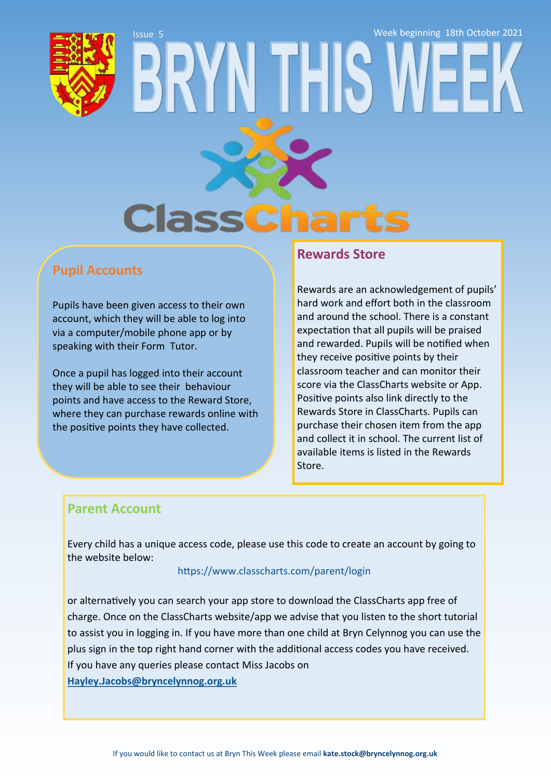Week beginning 18th October 2021



# Issue 5 **Class**

## **Pupil Accounts**

Pupils have been given access to their own account, which they will be able to log into via a computer/mobile phone app or by speaking with their Form Tutor.

Once a pupil has logged into their account they will be able to see their behaviour points and have access to the Reward Store, where they can purchase rewards online with the positive points they have collected.

#### **Rewards Store**

Rewards are an acknowledgement of pupils' hard work and effort both in the classroom and around the school. There is a constant expectation that all pupils will be praised and rewarded. Pupils will be notified when they receive positive points by their classroom teacher and can monitor their score via the ClassCharts website or App. Positive points also link directly to the Rewards Store in ClassCharts. Pupils can purchase their chosen item from the app and collect it in school. The current list of available items is listed in the Rewards Store.

#### **Parent Account**

Every child has a unique access code, please use this code to create an account by going to the website below:

#### <https://www.classcharts.com/parent/login>

or alternatively you can search your app store to download the ClassCharts app free of charge. Once on the ClassCharts website/app we advise that you listen to the short tutorial to assist you in logging in. If you have more than one child at Bryn Celynnog you can use the plus sign in the top right hand corner with the additional access codes you have received. If you have any queries please contact Miss Jacobs on **[Hayley.Jacobs@bryncelynnog.org.uk](mailto:hayley.jacobs@bryncelynnog.org.uk)**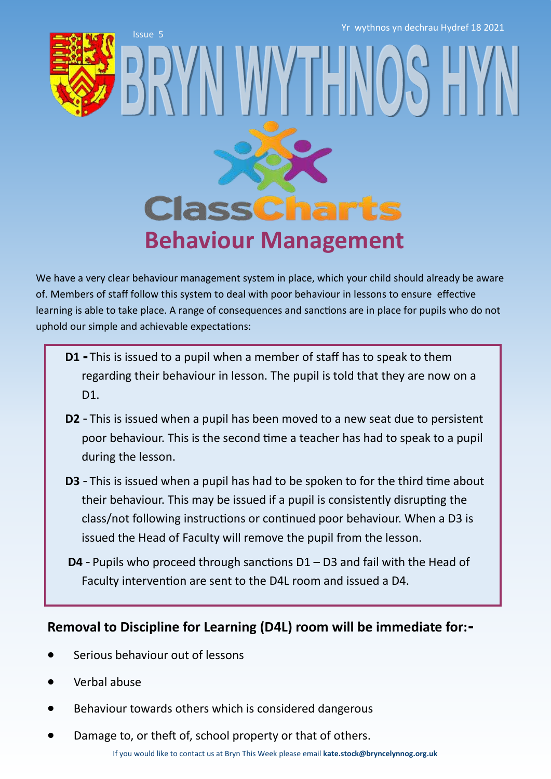Yr wythnos yn dechrau Hydref 18 2021

Issue 5



# **ClassCharts Behaviour Management**

WY I FIN

We have a very clear behaviour management system in place, which your child should already be aware of. Members of staff follow this system to deal with poor behaviour in lessons to ensure effective learning is able to take place. A range of consequences and sanctions are in place for pupils who do not uphold our simple and achievable expectations:

- **D1 -** This is issued to a pupil when a member of staff has to speak to them regarding their behaviour in lesson. The pupil is told that they are now on a D<sub>1</sub>.
- **D2** This is issued when a pupil has been moved to a new seat due to persistent poor behaviour. This is the second time a teacher has had to speak to a pupil during the lesson.
- **D3**  This is issued when a pupil has had to be spoken to for the third time about their behaviour. This may be issued if a pupil is consistently disrupting the class/not following instructions or continued poor behaviour. When a D3 is issued the Head of Faculty will remove the pupil from the lesson.
- **D4** Pupils who proceed through sanctions D1 D3 and fail with the Head of Faculty intervention are sent to the D4L room and issued a D4.

## **Removal to Discipline for Learning (D4L) room will be immediate for:-**

- Serious behaviour out of lessons
- Verbal abuse
- Behaviour towards others which is considered dangerous
- Damage to, or theft of, school property or that of others.